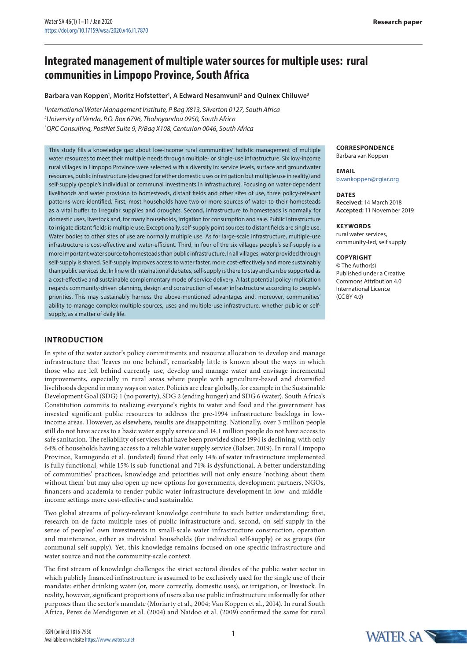# **Integrated management of multiple water sources for multiple uses: rural communities in Limpopo Province, South Africa**

#### **Barbara van Koppen1 , Moritz Hofstetter1 , A Edward Nesamvuni2 and Quinex Chiluwe3**

<sup>1</sup> International Water Management Institute, P Bag X813, Silverton 0127, South Africa *2 University of Venda, P.O. Box 6796, Thohoyandou 0950, South Africa 3 QRC Consulting, PostNet Suite 9, P/Bag X108, Centurion 0046, South Africa*

This study fills a knowledge gap about low-income rural communities' holistic management of multiple water resources to meet their multiple needs through multiple- or single-use infrastructure. Six low-income rural villages in Limpopo Province were selected with a diversity in: service levels, surface and groundwater resources, public infrastructure (designed for either domestic uses or irrigation but multiple use in reality) and self-supply (people's individual or communal investments in infrastructure). Focusing on water-dependent livelihoods and water provision to homesteads, distant fields and other sites of use, three policy-relevant patterns were identified. First, most households have two or more sources of water to their homesteads as a vital buffer to irregular supplies and droughts. Second, infrastructure to homesteads is normally for domestic uses, livestock and, for many households, irrigation for consumption and sale. Public infrastructure to irrigate distant fields is multiple use. Exceptionally, self-supply point sources to distant fields are single use. Water bodies to other sites of use are normally multiple use. As for large-scale infrastructure, multiple-use infrastructure is cost-effective and water-efficient. Third, in four of the six villages people's self-supply is a more important water source to homesteads than public infrastructure. In all villages, water provided through self-supply is shared. Self-supply improves access to water faster, more cost-effectively and more sustainably than public services do. In line with international debates, self-supply is there to stay and can be supported as a cost-effective and sustainable complementary mode of service delivery. A last potential policy implication regards community-driven planning, design and construction of water infrastructure according to people's priorities. This may sustainably harness the above-mentioned advantages and, moreover, communities' ability to manage complex multiple sources, uses and multiple-use infrastructure, whether public or selfsupply, as a matter of daily life.

# **INTRODUCTION**

In spite of the water sector's policy commitments and resource allocation to develop and manage infrastructure that 'leaves no one behind', remarkably little is known about the ways in which those who are left behind currently use, develop and manage water and envisage incremental improvements, especially in rural areas where people with agriculture-based and diversified livelihoods depend in many ways on water. Policies are clear globally, for example in the Sustainable Development Goal (SDG) 1 (no poverty), SDG 2 (ending hunger) and SDG 6 (water). South Africa's Constitution commits to realizing everyone's rights to water and food and the government has invested significant public resources to address the pre-1994 infrastructure backlogs in lowincome areas. However, as elsewhere, results are disappointing. Nationally, over 3 million people still do not have access to a basic water supply service and 14.1 million people do not have access to safe sanitation. The reliability of services that have been provided since 1994 is declining, with only 64% of households having access to a reliable water supply service (Balzer, 2019). In rural Limpopo Province, Ramugondo et al. (undated) found that only 14% of water infrastructure implemented is fully functional, while 15% is sub-functional and 71% is dysfunctional. A better understanding of communities' practices, knowledge and priorities will not only ensure 'nothing about them without them' but may also open up new options for governments, development partners, NGOs, financers and academia to render public water infrastructure development in low- and middleincome settings more cost-effective and sustainable.

Two global streams of policy-relevant knowledge contribute to such better understanding: first, research on de facto multiple uses of public infrastructure and, second, on self-supply in the sense of peoples' own investments in small-scale water infrastructure construction, operation and maintenance, either as individual households (for individual self-supply) or as groups (for communal self-supply). Yet, this knowledge remains focused on one specific infrastructure and water source and not the community-scale context.

The first stream of knowledge challenges the strict sectoral divides of the public water sector in which publicly financed infrastructure is assumed to be exclusively used for the single use of their mandate: either drinking water (or, more correctly, domestic uses), or irrigation, or livestock. In reality, however, significant proportions of users also use public infrastructure informally for other purposes than the sector's mandate (Moriarty et al., 2004; Van Koppen et al., 2014). In rural South Africa, Perez de Mendiguren et al. (2004) and Naidoo et al. (2009) confirmed the same for rural

# **CORRESPONDENCE**

Barbara van Koppen

**EMAIL** [b.vankoppen@cgiar.org](mailto:b.vankoppen@cgiar.org)

# **DATES Received:** 14 March 2018

**Accepted:** 11 November 2019

#### **KEYWORDS**

rural water services, community-led, self supply

#### **Copyright**

© The Author(s) Published under a [Creative](https://creativecommons.org/licenses/by/4.0/)  [Commons Attribution 4.0](https://creativecommons.org/licenses/by/4.0/)  [International Licence](https://creativecommons.org/licenses/by/4.0/)  (CC BY 4.0)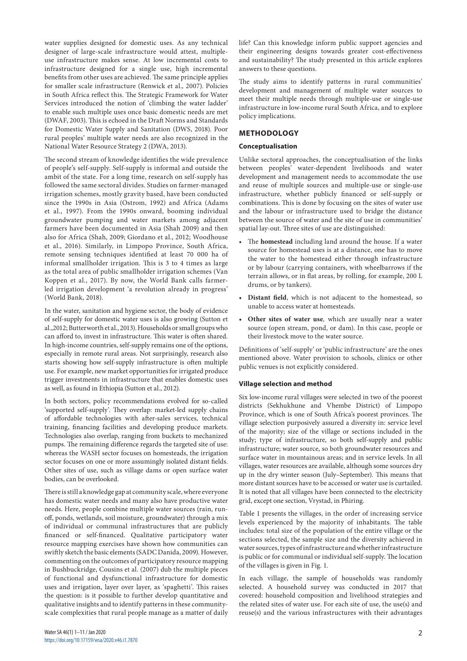water supplies designed for domestic uses. As any technical designer of large-scale infrastructure would attest, multipleuse infrastructure makes sense. At low incremental costs to infrastructure designed for a single use, high incremental benefits from other uses are achieved. The same principle applies for smaller scale infrastructure (Renwick et al., 2007). Policies in South Africa reflect this. The Strategic Framework for Water Services introduced the notion of 'climbing the water ladder' to enable such multiple uses once basic domestic needs are met (DWAF, 2003). This is echoed in the Draft Norms and Standards for Domestic Water Supply and Sanitation (DWS, 2018). Poor rural peoples' multiple water needs are also recognized in the National Water Resource Strategy 2 (DWA, 2013).

The second stream of knowledge identifies the wide prevalence of people's self-supply. Self-supply is informal and outside the ambit of the state. For a long time, research on self-supply has followed the same sectoral divides. Studies on farmer-managed irrigation schemes, mostly gravity based, have been conducted since the 1990s in Asia (Ostrom, 1992) and Africa (Adams et al., 1997). From the 1990s onward, booming individual groundwater pumping and water markets among adjacent farmers have been documented in Asia (Shah 2009) and then also for Africa (Shah, 2009; Giordano et al., 2012; Woodhouse et al., 2016). Similarly, in Limpopo Province, South Africa, remote sensing techniques identified at least 70 000 ha of informal smallholder irrigation. This is 3 to 4 times as large as the total area of public smallholder irrigation schemes (Van Koppen et al., 2017). By now, the World Bank calls farmerled irrigation development 'a revolution already in progress' (World Bank, 2018).

In the water, sanitation and hygiene sector, the body of evidence of self-supply for domestic water uses is also growing (Sutton et al.,2012; Butterworth et al., 2013). Households or small groups who can afford to, invest in infrastructure. This water is often shared. In high-income countries, self-supply remains one of the options, especially in remote rural areas. Not surprisingly, research also starts showing how self-supply infrastructure is often multiple use. For example, new market opportunities for irrigated produce trigger investments in infrastructure that enables domestic uses as well, as found in Ethiopia (Sutton et al., 2012).

In both sectors, policy recommendations evolved for so-called 'supported self-supply'. They overlap: market-led supply chains of affordable technologies with after-sales services, technical training, financing facilities and developing produce markets. Technologies also overlap, ranging from buckets to mechanized pumps. The remaining difference regards the targeted site of use: whereas the WASH sector focuses on homesteads, the irrigation sector focuses on one or more assumingly isolated distant fields. Other sites of use, such as village dams or open surface water bodies, can be overlooked.

There is still a knowledge gap at community scale, where everyone has domestic water needs and many also have productive water needs. Here, people combine multiple water sources (rain, runoff, ponds, wetlands, soil moisture, groundwater) through a mix of individual or communal infrastructures that are publicly financed or self-financed. Qualitative participatory water resource mapping exercises have shown how communities can swiftly sketch the basic elements (SADC Danida, 2009). However, commenting on the outcomes of participatory resource mapping in Bushbuckridge, Cousins et al. (2007) dub the multiple pieces of functional and dysfunctional infrastructure for domestic uses and irrigation, layer over layer, as 'spaghetti'. This raises the question: is it possible to further develop quantitative and qualitative insights and to identify patterns in these communityscale complexities that rural people manage as a matter of daily

life? Can this knowledge inform public support agencies and their engineering designs towards greater cost-effectiveness and sustainability? The study presented in this article explores answers to these questions.

The study aims to identify patterns in rural communities' development and management of multiple water sources to meet their multiple needs through multiple-use or single-use infrastructure in low-income rural South Africa, and to explore policy implications.

# **METHODOLOGY**

# **Conceptualisation**

Unlike sectoral approaches, the conceptualisation of the links between peoples' water-dependent livelihoods and water development and management needs to accommodate the use and reuse of multiple sources and multiple-use or single-use infrastructure, whether publicly financed or self-supply or combinations. This is done by focusing on the sites of water use and the labour or infrastructure used to bridge the distance between the source of water and the site of use in communities' spatial lay-out. Three sites of use are distinguished:

- The **homestead** including land around the house. If a water source for homestead uses is at a distance, one has to move the water to the homestead either through infrastructure or by labour (carrying containers, with wheelbarrows if the terrain allows, or in flat areas, by rolling, for example, 200 L drums, or by tankers).
- **Distant field**, which is not adjacent to the homestead, so unable to access water at homesteads.
- **Other sites of water use**, which are usually near a water source (open stream, pond, or dam). In this case, people or their livestock move to the water source.

Definitions of 'self-supply' or 'public infrastructure' are the ones mentioned above. Water provision to schools, clinics or other public venues is not explicitly considered.

# **Village selection and method**

Six low-income rural villages were selected in two of the poorest districts (Sekhukhune and Vhembe District) of Limpopo Province, which is one of South Africa's poorest provinces. The village selection purposively assured a diversity in: service level of the majority; size of the village or sections included in the study; type of infrastructure, so both self-supply and public infrastructure; water source, so both groundwater resources and surface water in mountainous areas; and in service levels. In all villages, water resources are available, although some sources dry up in the dry winter season (July–September). This means that more distant sources have to be accessed or water use is curtailed. It is noted that all villages have been connected to the electricity grid, except one section, Vrystad, in Phiring.

Table 1 presents the villages, in the order of increasing service levels experienced by the majority of inhabitants. The table includes: total size of the population of the entire village or the sections selected, the sample size and the diversity achieved in water sources, types of infrastructure and whether infrastructure is public or for communal or individual self-supply. The location of the villages is given in Fig. 1.

In each village, the sample of households was randomly selected. A household survey was conducted in 2017 that covered: household composition and livelihood strategies and the related sites of water use. For each site of use, the use(s) and reuse(s) and the various infrastructures with their advantages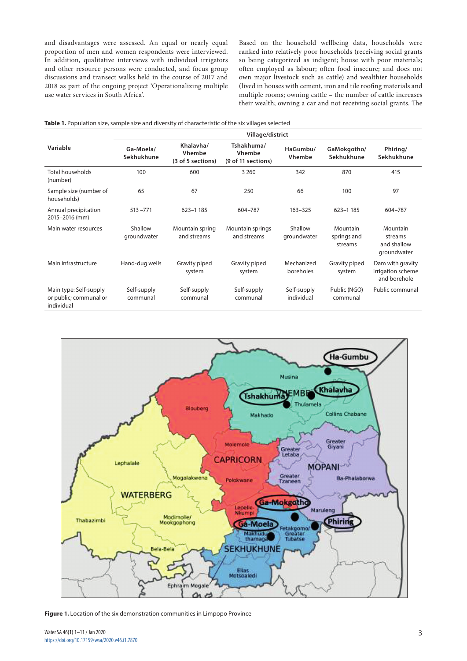and disadvantages were assessed. An equal or nearly equal proportion of men and women respondents were interviewed. In addition, qualitative interviews with individual irrigators and other resource persons were conducted, and focus group discussions and transect walks held in the course of 2017 and 2018 as part of the ongoing project 'Operationalizing multiple use water services in South Africa'.

Based on the household wellbeing data, households were ranked into relatively poor households (receiving social grants so being categorized as indigent; house with poor materials; often employed as labour; often food insecure; and does not own major livestock such as cattle) and wealthier households (lived in houses with cement, iron and tile roofing materials and multiple rooms; owning cattle – the number of cattle increases their wealth; owning a car and not receiving social grants. The

|                                                                | Village/district        |                                                 |                                            |                           |                                    |                                                       |  |  |  |  |
|----------------------------------------------------------------|-------------------------|-------------------------------------------------|--------------------------------------------|---------------------------|------------------------------------|-------------------------------------------------------|--|--|--|--|
| Variable                                                       | Ga-Moela/<br>Sekhukhune | Khalavha/<br><b>Vhembe</b><br>(3 of 5 sections) | Tshakhuma/<br>Vhembe<br>(9 of 11 sections) | HaGumbu/<br><b>Vhembe</b> | GaMokgotho/<br>Sekhukhune          | Phiring/<br>Sekhukhune                                |  |  |  |  |
| Total households<br>(number)                                   | 100                     | 600                                             | 3 2 6 0                                    | 342                       | 870                                | 415                                                   |  |  |  |  |
| Sample size (number of<br>households)                          | 65                      | 67                                              | 250                                        | 66                        | 100                                | 97                                                    |  |  |  |  |
| Annual precipitation<br>2015-2016 (mm)                         | $513 - 771$             | 623-1 185                                       | 604-787                                    | $163 - 325$               | 623-1185                           | 604-787                                               |  |  |  |  |
| Main water resources                                           | Shallow<br>groundwater  | Mountain spring<br>and streams                  | Mountain springs<br>and streams            | Shallow<br>groundwater    | Mountain<br>springs and<br>streams | Mountain<br>streams<br>and shallow<br>groundwater     |  |  |  |  |
| Main infrastructure                                            | Hand-dug wells          | Gravity piped<br>system                         | Gravity piped<br>system                    | Mechanized<br>boreholes   | Gravity piped<br>system            | Dam with gravity<br>irrigation scheme<br>and borehole |  |  |  |  |
| Main type: Self-supply<br>or public; communal or<br>individual | Self-supply<br>communal | Self-supply<br>communal                         | Self-supply<br>communal                    | Self-supply<br>individual | Public (NGO)<br>communal           | Public communal                                       |  |  |  |  |



**Figure 1.** Location of the six demonstration communities in Limpopo Province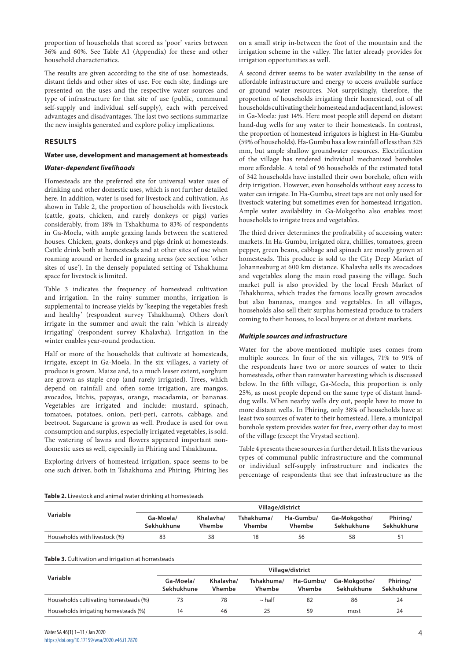proportion of households that scored as 'poor' varies between 36% and 60%. See Table A1 (Appendix) for these and other household characteristics.

The results are given according to the site of use: homesteads, distant fields and other sites of use. For each site, findings are presented on the uses and the respective water sources and type of infrastructure for that site of use (public, communal self-supply and individual self-supply), each with perceived advantages and disadvantages. The last two sections summarize the new insights generated and explore policy implications.

# **RESULTS**

### **Water use, development and management at homesteads**

# *Water-dependent livelihoods*

Homesteads are the preferred site for universal water uses of drinking and other domestic uses, which is not further detailed here. In addition, water is used for livestock and cultivation. As shown in Table 2, the proportion of households with livestock (cattle, goats, chicken, and rarely donkeys or pigs) varies considerably, from 18% in Tshakhuma to 83% of respondents in Ga-Moela, with ample grazing lands between the scattered houses. Chicken, goats, donkeys and pigs drink at homesteads. Cattle drink both at homesteads and at other sites of use when roaming around or herded in grazing areas (see section 'other sites of use'). In the densely populated setting of Tshakhuma space for livestock is limited.

Table 3 indicates the frequency of homestead cultivation and irrigation. In the rainy summer months, irrigation is supplemental to increase yields by 'keeping the vegetables fresh and healthy' (respondent survey Tshakhuma). Others don't irrigate in the summer and await the rain 'which is already irrigating' (respondent survey Khalavha). Irrigation in the winter enables year-round production.

Half or more of the households that cultivate at homesteads, irrigate, except in Ga-Moela. In the six villages, a variety of produce is grown. Maize and, to a much lesser extent, sorghum are grown as staple crop (and rarely irrigated). Trees, which depend on rainfall and often some irrigation, are mangos, avocados, litchis, papayas, orange, macadamia, or bananas. Vegetables are irrigated and include: mustard, spinach, tomatoes, potatoes, onion, peri-peri, carrots, cabbage, and beetroot. Sugarcane is grown as well. Produce is used for own consumption and surplus, especially irrigated vegetables, is sold. The watering of lawns and flowers appeared important nondomestic uses as well, especially in Phiring and Tshakhuma.

Exploring drivers of homestead irrigation, space seems to be one such driver, both in Tshakhuma and Phiring. Phiring lies on a small strip in-between the foot of the mountain and the irrigation scheme in the valley. The latter already provides for irrigation opportunities as well.

A second driver seems to be water availability in the sense of affordable infrastructure and energy to access available surface or ground water resources. Not surprisingly, therefore, the proportion of households irrigating their homestead, out of all households cultivating their homestead and adjacent land, is lowest in Ga-Moela: just 14%. Here most people still depend on distant hand-dug wells for any water to their homesteads. In contrast, the proportion of homestead irrigators is highest in Ha-Gumbu (59% of households). Ha-Gumbu has a low rainfall of less than 325 mm, but ample shallow groundwater resources. Electrification of the village has rendered individual mechanized boreholes more affordable. A total of 96 households of the estimated total of 342 households have installed their own borehole, often with drip irrigation. However, even households without easy access to water can irrigate. In Ha-Gumbu, street taps are not only used for livestock watering but sometimes even for homestead irrigation. Ample water availability in Ga-Mokgotho also enables most households to irrigate trees and vegetables.

The third driver determines the profitability of accessing water: markets. In Ha-Gumbu, irrigated okra, chillies, tomatoes, green pepper, green beans, cabbage and spinach are mostly grown at homesteads. This produce is sold to the City Deep Market of Johannesburg at 600 km distance. Khalavha sells its avocadoes and vegetables along the main road passing the village. Such market pull is also provided by the local Fresh Market of Tshakhuma, which trades the famous locally grown avocados but also bananas, mangos and vegetables. In all villages, households also sell their surplus homestead produce to traders coming to their houses, to local buyers or at distant markets.

# *Multiple sources and infrastructure*

Water for the above-mentioned multiple uses comes from multiple sources. In four of the six villages, 71% to 91% of the respondents have two or more sources of water to their homesteads, other than rainwater harvesting which is discussed below. In the fifth village, Ga-Moela, this proportion is only 25%, as most people depend on the same type of distant handdug wells. When nearby wells dry out, people have to move to more distant wells. In Phiring, only 38% of households have at least two sources of water to their homestead. Here, a municipal borehole system provides water for free, every other day to most of the village (except the Vrystad section).

Table 4 presents these sources in further detail. It lists the various types of communal public infrastructure and the communal or individual self-supply infrastructure and indicates the percentage of respondents that see that infrastructure as the

#### **Table 2.** Livestock and animal water drinking at homesteads

|                               | Village/district        |                            |                      |                     |                            |                        |  |  |  |
|-------------------------------|-------------------------|----------------------------|----------------------|---------------------|----------------------------|------------------------|--|--|--|
| Variable                      | Ga-Moela/<br>Sekhukhune | Khalavha/<br><b>Vhembe</b> | Tshakhuma/<br>Vhembe | Ha-Gumbu/<br>Vhembe | Ga-Mokgotho/<br>Sekhukhune | Phiring/<br>Sekhukhune |  |  |  |
| Households with livestock (%) | 83                      | 38                         | 18                   | 56                  | 58                         | 51                     |  |  |  |

#### **Table 3.** Cultivation and irrigation at homesteads

|                                       | Village/district        |                            |                             |                            |                            |                        |  |  |
|---------------------------------------|-------------------------|----------------------------|-----------------------------|----------------------------|----------------------------|------------------------|--|--|
| Variable                              | Ga-Moela/<br>Sekhukhune | Khalavha/<br><b>Vhembe</b> | Tshakhuma/<br><b>Vhembe</b> | Ha-Gumbu/<br><b>Vhembe</b> | Ga-Mokgotho/<br>Sekhukhune | Phiring/<br>Sekhukhune |  |  |
| Households cultivating homesteads (%) |                         | 78                         | $\sim$ half                 | 82                         | 86                         | 24                     |  |  |
| Households irrigating homesteads (%)  |                         | 46                         | 25                          | 59                         | most                       | 24                     |  |  |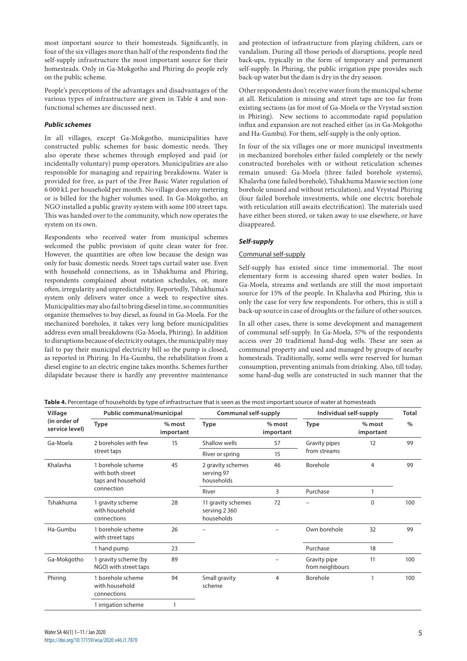most important source to their homesteads. Significantly, in four of the six villages more than half of the respondents find the self-supply infrastructure the most important source for their homesteads. Only in Ga-Mokgotho and Phiring do people rely on the public scheme.

People's perceptions of the advantages and disadvantages of the various types of infrastructure are given in Table 4 and nonfunctional schemes are discussed next.

# *Public schemes*

In all villages, except Ga-Mokgotho, municipalities have constructed public schemes for basic domestic needs. They also operate these schemes through employed and paid (or incidentally voluntary) pump operators. Municipalities are also responsible for managing and repairing breakdowns. Water is provided for free, as part of the Free Basic Water regulation of 6 000 kL per household per month. No village does any metering or is billed for the higher volumes used. In Ga-Mokgotho, an NGO installed a public gravity system with some 100 street taps. This was handed over to the community, which now operates the system on its own.

Respondents who received water from municipal schemes welcomed the public provision of quite clean water for free. However, the quantities are often low because the design was only for basic domestic needs. Street taps curtail water use. Even with household connections, as in Tshakhuma and Phiring, respondents complained about rotation schedules, or, more often, irregularity and unpredictability. Reportedly, Tshakhuma's system only delivers water once a week to respective sites. Municipalities may also fail to bring diesel in time, so communities organize themselves to buy diesel, as found in Ga-Moela. For the mechanized boreholes, it takes very long before municipalities address even small breakdowns (Ga-Moela, Phiring). In addition to disruptions because of electricity outages, the municipality may fail to pay their municipal electricity bill so the pump is closed, as reported in Phiring. In Ha-Gumbu, the rehabilitation from a diesel engine to an electric engine takes months. Schemes further dilapidate because there is hardly any preventive maintenance

and protection of infrastructure from playing children, cars or vandalism. During all those periods of disruptions, people need back-ups, typically in the form of temporary and permanent self-supply. In Phiring, the public irrigation pipe provides such back-up water but the dam is dry in the dry season.

Other respondents don't receive water from the municipal scheme at all. Reticulation is missing and street taps are too far from existing sections (as for most of Ga-Moela or the Vrystad section in Phiring). New sections to accommodate rapid population influx and expansion are not reached either (as in Ga-Mokgotho and Ha-Gumbu). For them, self-supply is the only option.

In four of the six villages one or more municipal investments in mechanized boreholes either failed completely or the newly constructed boreholes with or without reticulation schemes remain unused: Ga-Moela (three failed borehole systems), Khalavha (one failed borehole), Tshakhuma Maswie section (one borehole unused and without reticulation), and Vrystad Phiring (four failed borehole investments, while one electric borehole with reticulation still awaits electrification). The materials used have either been stored, or taken away to use elsewhere, or have disappeared.

# *Self-supply*

# Communal self-supply

Self-supply has existed since time immemorial. The most elementary form is accessing shared open water bodies. In Ga-Moela, streams and wetlands are still the most important source for 15% of the people. In Khalavha and Phiring, this is only the case for very few respondents. For others, this is still a back-up source in case of droughts or the failure of other sources.

In all other cases, there is some development and management of communal self-supply. In Ga-Moela, 57% of the respondents access over 20 traditional hand-dug wells. These are seen as communal property and used and managed by groups of nearby homesteads. Traditionally, some wells were reserved for human consumption, preventing animals from drinking. Also, till today, some hand-dug wells are constructed in such manner that the

| Table 4. Percentage of households by type of infrastructure that is seen as the most important source of water at homesteads |
|------------------------------------------------------------------------------------------------------------------------------|
|------------------------------------------------------------------------------------------------------------------------------|

| Village                        | Public communal/municipal                                   |                       | Communal self-supply                              |                       | Individual self-supply          | <b>Total</b>          |      |
|--------------------------------|-------------------------------------------------------------|-----------------------|---------------------------------------------------|-----------------------|---------------------------------|-----------------------|------|
| (in order of<br>service level) | <b>Type</b>                                                 | $%$ most<br>important | <b>Type</b>                                       | $%$ most<br>important | Type                            | $%$ most<br>important | $\%$ |
| Ga-Moela                       | 2 boreholes with few                                        | 15                    | Shallow wells                                     | 57                    | Gravity pipes                   | 12                    | 99   |
|                                | street taps                                                 |                       | River or spring                                   | 15                    | from streams                    |                       |      |
| Khalavha                       | 1 borehole scheme<br>with both street<br>taps and household | 45                    | 2 gravity schemes<br>serving 97<br>households     | 46                    | Borehole                        | 4                     | 99   |
|                                | connection                                                  |                       | River                                             | 3                     | Purchase                        | 1                     |      |
| Tshakhuma                      | 1 gravity scheme<br>with household<br>connections           | 28                    | 11 gravity schemes<br>serving 2 360<br>households | 72                    |                                 | $\Omega$              | 100  |
| Ha-Gumbu                       | 1 borehole scheme<br>with street taps                       | 26                    |                                                   |                       | Own borehole                    | 32                    | 99   |
|                                | 1 hand pump                                                 | 23                    |                                                   |                       | Purchase                        | 18                    |      |
| Ga-Mokgotho                    | 1 gravity scheme (by<br>NGO) with street taps               | 89                    |                                                   |                       | Gravity pipe<br>from neighbours | 11                    | 100  |
| Phiring                        | 1 borehole scheme<br>with household<br>connections          | 94                    | Small gravity<br>scheme                           | 4                     | Borehole                        |                       | 100  |
|                                | 1 irrigation scheme                                         |                       |                                                   |                       |                                 |                       |      |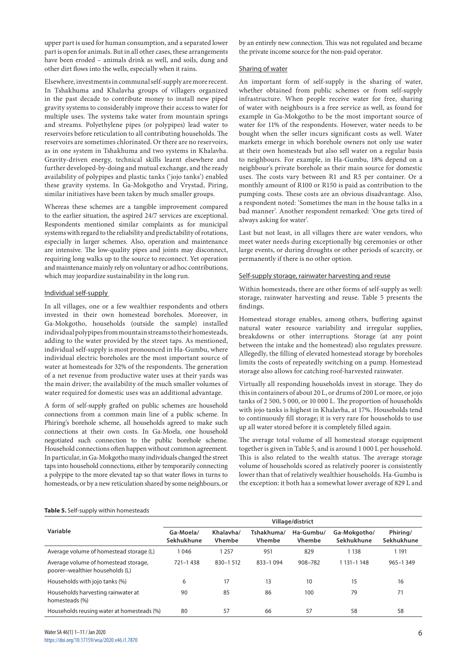upper part is used for human consumption, and a separated lower part is open for animals. But in all other cases, these arrangements have been eroded – animals drink as well, and soils, dung and other dirt flows into the wells, especially when it rains.

Elsewhere, investments in communal self-supply are more recent. In Tshakhuma and Khalavha groups of villagers organized in the past decade to contribute money to install new piped gravity systems to considerably improve their access to water for multiple uses. The systems take water from mountain springs and streams. Polyethylene pipes (or polypipes) lead water to reservoirs before reticulation to all contributing households. The reservoirs are sometimes chlorinated. Or there are no reservoirs, as in one system in Tshakhuma and two systems in Khalavha. Gravity-driven energy, technical skills learnt elsewhere and further developed-by-doing and mutual exchange, and the ready availability of polypipes and plastic tanks ('jojo tanks') enabled these gravity systems. In Ga-Mokgotho and Vrystad, Piring, similar initiatives have been taken by much smaller groups.

Whereas these schemes are a tangible improvement compared to the earlier situation, the aspired 24/7 services are exceptional. Respondents mentioned similar complaints as for municipal systems with regard to the reliability and predictability of rotations, especially in larger schemes. Also, operation and maintenance are intensive. The low-quality pipes and joints may disconnect, requiring long walks up to the source to reconnect. Yet operation and maintenance mainly rely on voluntary or ad hoc contributions, which may jeopardize sustainability in the long run.

# Individual self-supply

In all villages, one or a few wealthier respondents and others invested in their own homestead boreholes. Moreover, in Ga-Mokgotho, households (outside the sample) installed individual polypipes from mountain streams to their homesteads, adding to the water provided by the street taps. As mentioned, individual self-supply is most pronounced in Ha-Gumbu, where individual electric boreholes are the most important source of water at homesteads for 32% of the respondents. The generation of a net revenue from productive water uses at their yards was the main driver; the availability of the much smaller volumes of water required for domestic uses was an additional advantage.

A form of self-supply grafted on public schemes are household connections from a common main line of a public scheme. In Phiring's borehole scheme, all households agreed to make such connections at their own costs. In Ga-Moela, one household negotiated such connection to the public borehole scheme. Household connections often happen without common agreement. In particular, in Ga-Mokgotho many individuals changed the street taps into household connections, either by temporarily connecting a polypipe to the more elevated tap so that water flows in turns to homesteads, or by a new reticulation shared by some neighbours, or

by an entirely new connection. This was not regulated and became the private income source for the non-paid operator.

### Sharing of water

An important form of self-supply is the sharing of water, whether obtained from public schemes or from self-supply infrastructure. When people receive water for free, sharing of water with neighbours is a free service as well, as found for example in Ga-Mokgotho to be the most important source of water for 11% of the respondents. However, water needs to be bought when the seller incurs significant costs as well. Water markets emerge in which borehole owners not only use water at their own homesteads but also sell water on a regular basis to neighbours. For example, in Ha-Gumbu, 18% depend on a neighbour's private borehole as their main source for domestic uses. The costs vary between R1 and R5 per container. Or a monthly amount of R100 or R150 is paid as contribution to the pumping costs. These costs are an obvious disadvantage. Also, a respondent noted: 'Sometimes the man in the house talks in a bad manner'. Another respondent remarked: 'One gets tired of always asking for water'.

Last but not least, in all villages there are water vendors, who meet water needs during exceptionally big ceremonies or other large events, or during droughts or other periods of scarcity, or permanently if there is no other option.

### Self-supply storage, rainwater harvesting and reuse

Within homesteads, there are other forms of self-supply as well: storage, rainwater harvesting and reuse. Table 5 presents the findings.

Homestead storage enables, among others, buffering against natural water resource variability and irregular supplies, breakdowns or other interruptions. Storage (at any point between the intake and the homestead) also regulates pressure. Allegedly, the filling of elevated homestead storage by boreholes limits the costs of repeatedly switching on a pump. Homestead storage also allows for catching roof-harvested rainwater.

Virtually all responding households invest in storage. They do this in containers of about 20 L, or drums of 200 L or more, or jojo tanks of 2 500, 5 000, or 10 000 L. The proportion of households with jojo tanks is highest in Khalavha, at 17%. Households tend to continuously fill storage; it is very rare for households to use up all water stored before it is completely filled again.

The average total volume of all homestead storage equipment together is given in Table 5, and is around 1 000 L per household. This is also related to the wealth status. The average storage volume of households scored as relatively poorer is consistently lower than that of relatively wealthier households. Ha-Gumbu is the exception: it both has a somewhat lower average of 829 L and

#### **Table 5.** Self-supply within homesteads

|                                                                         | Village/district        |                            |                             |                     |                            |                        |  |  |
|-------------------------------------------------------------------------|-------------------------|----------------------------|-----------------------------|---------------------|----------------------------|------------------------|--|--|
| Variable                                                                | Ga-Moela/<br>Sekhukhune | Khalavha/<br><b>Vhembe</b> | Tshakhuma/<br><b>Vhembe</b> | Ha-Gumbu/<br>Vhembe | Ga-Mokgotho/<br>Sekhukhune | Phiring/<br>Sekhukhune |  |  |
| Average volume of homestead storage (L)                                 | 1046                    | 1 2 5 7                    | 951                         | 829                 | 1 1 3 8                    | 1 1 9 1                |  |  |
| Average volume of homestead storage,<br>poorer-wealthier households (L) | 721-1438                | 830-1512                   | 833-1094                    | 908-782             | 1 131-1 148                | $965 - 1349$           |  |  |
| Households with jojo tanks (%)                                          | 6                       | 17                         | 13                          | 10                  | 15                         | 16                     |  |  |
| Households harvesting rainwater at<br>homesteads (%)                    | 90                      | 85                         | 86                          | 100                 | 79                         | 71                     |  |  |
| Households reusing water at homesteads (%)                              | 80                      | 57                         | 66                          | 57                  | 58                         | 58                     |  |  |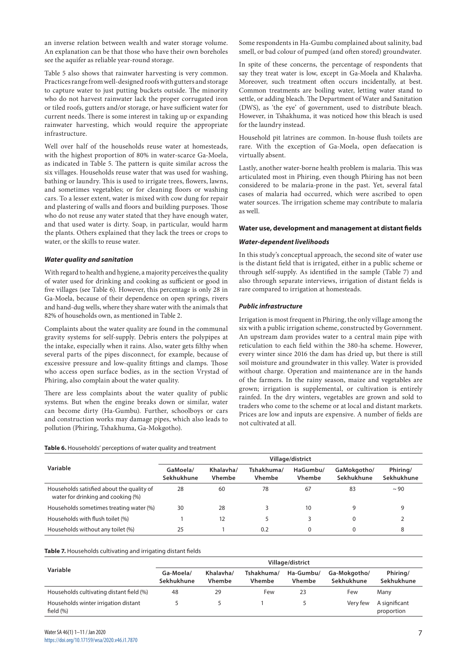an inverse relation between wealth and water storage volume. An explanation can be that those who have their own boreholes see the aquifer as reliable year-round storage.

Table 5 also shows that rainwater harvesting is very common. Practices range from well-designed roofs with gutters and storage to capture water to just putting buckets outside. The minority who do not harvest rainwater lack the proper corrugated iron or tiled roofs, gutters and/or storage, or have sufficient water for current needs. There is some interest in taking up or expanding rainwater harvesting, which would require the appropriate infrastructure.

Well over half of the households reuse water at homesteads, with the highest proportion of 80% in water-scarce Ga-Moela, as indicated in Table 5. The pattern is quite similar across the six villages. Households reuse water that was used for washing, bathing or laundry. This is used to irrigate trees, flowers, lawns, and sometimes vegetables; or for cleaning floors or washing cars. To a lesser extent, water is mixed with cow dung for repair and plastering of walls and floors and building purposes. Those who do not reuse any water stated that they have enough water, and that used water is dirty. Soap, in particular, would harm the plants. Others explained that they lack the trees or crops to water, or the skills to reuse water.

# *Water quality and sanitation*

With regard to health and hygiene, a majority perceives the quality of water used for drinking and cooking as sufficient or good in five villages (see Table 6). However, this percentage is only 28 in Ga-Moela, because of their dependence on open springs, rivers and hand-dug wells, where they share water with the animals that 82% of households own, as mentioned in Table 2.

Complaints about the water quality are found in the communal gravity systems for self-supply. Debris enters the polypipes at the intake, especially when it rains. Also, water gets filthy when several parts of the pipes disconnect, for example, because of excessive pressure and low-quality fittings and clamps. Those who access open surface bodies, as in the section Vrystad of Phiring, also complain about the water quality.

There are less complaints about the water quality of public systems. But when the engine breaks down or similar, water can become dirty (Ha-Gumbu). Further, schoolboys or cars and construction works may damage pipes, which also leads to pollution (Phiring, Tshakhuma, Ga-Mokgotho).

**Table 6.** Households' perceptions of water quality and treatment

|                                                                                 | Village/district       |                            |                             |                           |                           |                        |  |  |
|---------------------------------------------------------------------------------|------------------------|----------------------------|-----------------------------|---------------------------|---------------------------|------------------------|--|--|
| Variable                                                                        | GaMoela/<br>Sekhukhune | Khalavha/<br><b>Vhembe</b> | Tshakhuma/<br><b>Vhembe</b> | HaGumbu/<br><b>Vhembe</b> | GaMokgotho/<br>Sekhukhune | Phiring/<br>Sekhukhune |  |  |
| Households satisfied about the quality of<br>water for drinking and cooking (%) | 28                     | 60                         | 78                          | 67                        | 83                        | $\sim$ 90              |  |  |
| Households sometimes treating water (%)                                         | 30                     | 28                         |                             | 10                        |                           | 9                      |  |  |
| Households with flush toilet (%)                                                |                        | 12                         |                             |                           |                           |                        |  |  |
| Households without any toilet (%)                                               | 25                     |                            | 0.2                         |                           |                           | 8                      |  |  |

#### **Table 7.** Households cultivating and irrigating distant fields

|                                                      | Village/district        |                            |                             |                            |                            |                             |  |  |
|------------------------------------------------------|-------------------------|----------------------------|-----------------------------|----------------------------|----------------------------|-----------------------------|--|--|
| Variable                                             | Ga-Moela/<br>Sekhukhune | Khalavha/<br><b>Vhembe</b> | Tshakhuma/<br><b>Vhembe</b> | Ha-Gumbu/<br><b>Vhembe</b> | Ga-Mokgotho/<br>Sekhukhune | Phiring/<br>Sekhukhune      |  |  |
| Households cultivating distant field (%)             | 48                      | 29                         | Few                         | 23                         | Few                        | Many                        |  |  |
| Households winter irrigation distant<br>field $(\%)$ |                         |                            |                             |                            | Very few                   | A significant<br>proportion |  |  |

Some respondents in Ha-Gumbu complained about salinity, bad smell, or bad colour of pumped (and often stored) groundwater.

In spite of these concerns, the percentage of respondents that say they treat water is low, except in Ga-Moela and Khalavha. Moreover, such treatment often occurs incidentally, at best. Common treatments are boiling water, letting water stand to settle, or adding bleach. The Department of Water and Sanitation (DWS), as 'the eye' of government, used to distribute bleach. However, in Tshakhuma, it was noticed how this bleach is used for the laundry instead.

Household pit latrines are common. In-house flush toilets are rare. With the exception of Ga-Moela, open defaecation is virtually absent.

Lastly, another water-borne health problem is malaria. This was articulated most in Phiring, even though Phiring has not been considered to be malaria-prone in the past. Yet, several fatal cases of malaria had occurred, which were ascribed to open water sources. The irrigation scheme may contribute to malaria as well.

#### **Water use, development and management at distant fields**

#### *Water-dependent livelihoods*

In this study's conceptual approach, the second site of water use is the distant field that is irrigated, either in a public scheme or through self-supply. As identified in the sample (Table 7) and also through separate interviews, irrigation of distant fields is rare compared to irrigation at homesteads.

# *Public infrastructure*

Irrigation is most frequent in Phiring, the only village among the six with a public irrigation scheme, constructed by Government. An upstream dam provides water to a central main pipe with reticulation to each field within the 380-ha scheme. However, every winter since 2016 the dam has dried up, but there is still soil moisture and groundwater in this valley. Water is provided without charge. Operation and maintenance are in the hands of the farmers. In the rainy season, maize and vegetables are grown; irrigation is supplemental, or cultivation is entirely rainfed. In the dry winters, vegetables are grown and sold to traders who come to the scheme or at local and distant markets. Prices are low and inputs are expensive. A number of fields are not cultivated at all.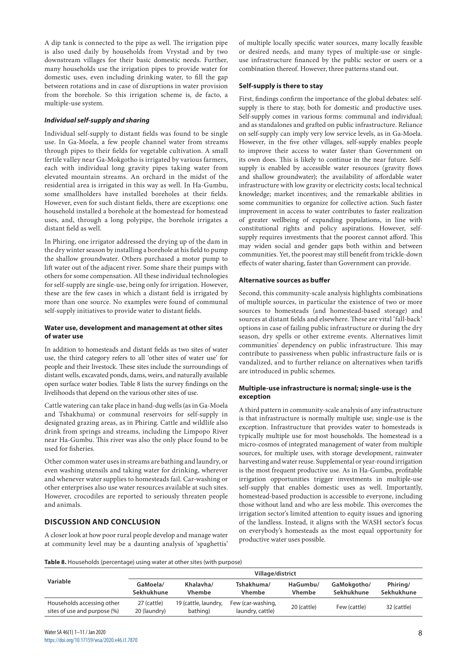A dip tank is connected to the pipe as well. The irrigation pipe is also used daily by households from Vrystad and by two downstream villages for their basic domestic needs. Further, many households use the irrigation pipes to provide water for domestic uses, even including drinking water, to fill the gap between rotations and in case of disruptions in water provision from the borehole. So this irrigation scheme is*,* de facto, a multiple-use system.

# *Individual self-supply and sharing*

Individual self-supply to distant fields was found to be single use. In Ga-Moela, a few people channel water from streams through pipes to their fields for vegetable cultivation. A small fertile valley near Ga-Mokgotho is irrigated by various farmers, each with individual long gravity pipes taking water from elevated mountain streams. An orchard in the midst of the residential area is irrigated in this way as well. In Ha-Gumbu, some smallholders have installed boreholes at their fields. However, even for such distant fields, there are exceptions: one household installed a borehole at the homestead for homestead uses, and, through a long polypipe, the borehole irrigates a distant field as well.

In Phiring, one irrigator addressed the drying up of the dam in the dry winter season by installing a borehole at his field to pump the shallow groundwater. Others purchased a motor pump to lift water out of the adjacent river. Some share their pumps with others for some compensation. All these individual technologies for self-supply are single-use, being only for irrigation. However, these are the few cases in which a distant field is irrigated by more than one source. No examples were found of communal self-supply initiatives to provide water to distant fields.

# **Water use, development and management at other sites of water use**

In addition to homesteads and distant fields as two sites of water use, the third category refers to all 'other sites of water use' for people and their livestock. These sites include the surroundings of distant wells, excavated ponds, dams, weirs, and naturally available open surface water bodies. Table 8 lists the survey findings on the livelihoods that depend on the various other sites of use.

Cattle watering can take place in hand-dug wells (as in Ga-Moela and Tshakhuma) or communal reservoirs for self-supply in designated grazing areas, as in Phiring. Cattle and wildlife also drink from springs and streams, including the Limpopo River near Ha-Gumbu. This river was also the only place found to be used for fisheries.

Other common water uses in streams are bathing and laundry, or even washing utensils and taking water for drinking, wherever and whenever water supplies to homesteads fail. Car-washing or other enterprises also use water resources available at such sites. However, crocodiles are reported to seriously threaten people and animals.

# **DISCUSSION AND CONCLUSION**

A closer look at how poor rural people develop and manage water at community level may be a daunting analysis of 'spaghettis' of multiple locally specific water sources, many locally feasible or desired needs, and many types of multiple-use or singleuse infrastructure financed by the public sector or users or a combination thereof. However, three patterns stand out.

### **Self-supply is there to stay**

First, findings confirm the importance of the global debates: selfsupply is there to stay, both for domestic and productive uses. Self-supply comes in various forms: communal and individual; and as standalones and grafted on public infrastructure. Reliance on self-supply can imply very low service levels, as in Ga-Moela. However, in the five other villages, self-supply enables people to improve their access to water faster than Government on its own does. This is likely to continue in the near future. Selfsupply is enabled by accessible water resources (gravity flows and shallow groundwater); the availability of affordable water infrastructure with low gravity or electricity costs; local technical knowledge; market incentives; and the remarkable abilities in some communities to organize for collective action. Such faster improvement in access to water contributes to faster realization of greater wellbeing of expanding populations, in line with constitutional rights and policy aspirations. However, selfsupply requires investments that the poorest cannot afford. This may widen social and gender gaps both within and between communities. Yet, the poorest may still benefit from trickle-down effects of water sharing, faster than Government can provide.

### **Alternative sources as buffer**

Second, this community-scale analysis highlights combinations of multiple sources, in particular the existence of two or more sources to homesteads (and homestead-based storage) and sources at distant fields and elsewhere. These are vital 'fall-back' options in case of failing public infrastructure or during the dry season, dry spells or other extreme events. Alternatives limit communities' dependency on public infrastructure. This may contribute to passiveness when public infrastructure fails or is vandalized, and to further reliance on alternatives when tariffs are introduced in public schemes.

### **Multiple-use infrastructure is normal; single-use is the exception**

A third pattern in community-scale analysis of any infrastructure is that infrastructure is normally multiple use; single-use is the exception. Infrastructure that provides water to homesteads is typically multiple use for most households. The homestead is a micro-cosmos of integrated management of water from multiple sources, for multiple uses, with storage development, rainwater harvesting and water reuse. Supplemental or year-round irrigation is the most frequent productive use. As in Ha-Gumbu, profitable irrigation opportunities trigger investments in multiple-use self-supply that enables domestic uses as well. Importantly, homestead-based production is accessible to everyone, including those without land and who are less mobile. This overcomes the irrigation sector's limited attention to equity issues and ignoring of the landless. Instead, it aligns with the WASH sector's focus on everybody's homesteads as the most equal opportunity for productive water uses possible.

**Table 8.** Households (percentage) using water at other sites (with purpose)

| Variable                                                   | GaMoela/<br>Sekhukhune      | Khalavha/<br><b>Vhembe</b>       | Tshakhuma/<br><b>Vhembe</b>           | HaGumbu/<br><b>Vhembe</b> | GaMokgotho/<br>Sekhukhune | Phiring/<br>Sekhukhune |
|------------------------------------------------------------|-----------------------------|----------------------------------|---------------------------------------|---------------------------|---------------------------|------------------------|
| Households accessing other<br>sites of use and purpose (%) | 27 (cattle)<br>20 (laundry) | 19 (cattle, laundry,<br>bathing) | Few (car-washing,<br>laundry, cattle) | 20 (cattle)               | Few (cattle)              | 32 (cattle)            |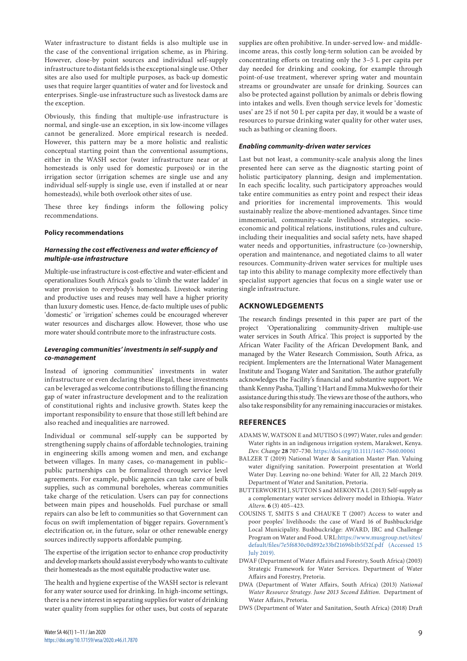Water infrastructure to distant fields is also multiple use in the case of the conventional irrigation scheme, as in Phiring. However, close-by point sources and individual self-supply infrastructure to distant fields is the exceptional single use. Other sites are also used for multiple purposes, as back-up domestic uses that require larger quantities of water and for livestock and enterprises. Single-use infrastructure such as livestock dams are the exception.

Obviously, this finding that multiple-use infrastructure is normal, and single-use an exception, in six low-income villages cannot be generalized. More empirical research is needed. However, this pattern may be a more holistic and realistic conceptual starting point than the conventional assumptions, either in the WASH sector (water infrastructure near or at homesteads is only used for domestic purposes) or in the irrigation sector (irrigation schemes are single use and any individual self-supply is single use, even if installed at or near homesteads), while both overlook other sites of use.

These three key findings inform the following policy recommendations.

#### **Policy recommendations**

# *Harnessing the cost effectiveness and water efficiency of multiple-use infrastructure*

Multiple-use infrastructure is cost-effective and water-efficient and operationalizes South Africa's goals to 'climb the water ladder' in water provision to everybody's homesteads. Livestock watering and productive uses and reuses may well have a higher priority than luxury domestic uses. Hence, de-facto multiple uses of public 'domestic' or 'irrigation' schemes could be encouraged wherever water resources and discharges allow. However, those who use more water should contribute more to the infrastructure costs.

# *Leveraging communities' investments in self-supply and co-management*

Instead of ignoring communities' investments in water infrastructure or even declaring these illegal, these investments can be leveraged as welcome contributions to filling the financing gap of water infrastructure development and to the realization of constitutional rights and inclusive growth. States keep the important responsibility to ensure that those still left behind are also reached and inequalities are narrowed.

Individual or communal self-supply can be supported by strengthening supply chains of affordable technologies, training in engineering skills among women and men, and exchange between villages. In many cases, co-management in public– public partnerships can be formalized through service level agreements. For example, public agencies can take care of bulk supplies, such as communal boreholes, whereas communities take charge of the reticulation. Users can pay for connections between main pipes and households. Fuel purchase or small repairs can also be left to communities so that Government can focus on swift implementation of bigger repairs. Government's electrification or, in the future, solar or other renewable energy sources indirectly supports affordable pumping.

The expertise of the irrigation sector to enhance crop productivity and develop markets should assist everybody who wants to cultivate their homesteads as the most equitable productive water use.

The health and hygiene expertise of the WASH sector is relevant for any water source used for drinking. In high-income settings, there is a new interest in separating supplies for water of drinking water quality from supplies for other uses, but costs of separate

supplies are often prohibitive. In under-served low- and middleincome areas, this costly long-term solution can be avoided by concentrating efforts on treating only the 3–5 L per capita per day needed for drinking and cooking, for example through point-of-use treatment, wherever spring water and mountain streams or groundwater are unsafe for drinking. Sources can also be protected against pollution by animals or debris flowing into intakes and wells. Even though service levels for 'domestic uses' are 25 if not 50 L per capita per day, it would be a waste of resources to pursue drinking water quality for other water uses, such as bathing or cleaning floors.

### *Enabling community-driven water services*

Last but not least, a community-scale analysis along the lines presented here can serve as the diagnostic starting point of holistic participatory planning, design and implementation. In each specific locality, such participatory approaches would take entire communities as entry point and respect their ideas and priorities for incremental improvements. This would sustainably realize the above-mentioned advantages. Since time immemorial, community-scale livelihood strategies, socioeconomic and political relations, institutions, rules and culture, including their inequalities and social safety nets, have shaped water needs and opportunities, infrastructure (co-)ownership, operation and maintenance, and negotiated claims to all water resources. Community-driven water services for multiple uses tap into this ability to manage complexity more effectively than specialist support agencies that focus on a single water use or single infrastructure.

# **ACKNOWLEDGEMENTS**

The research findings presented in this paper are part of the project 'Operationalizing community-driven multiple-use water services in South Africa'. This project is supported by the African Water Facility of the African Development Bank, and managed by the Water Research Commission, South Africa, as recipient. Implementers are the International Water Management Institute and Tsogang Water and Sanitation. The author gratefully acknowledges the Facility's financial and substantive support. We thank Kenny Pasha, Tjalling 't Hart and Emma Mukwevho for their assistance during this study. The views are those of the authors, who also take responsibility for any remaining inaccuracies or mistakes.

# **REFERENCES**

- ADAMS W, WATSON E and MUTISO S (1997) Water, rules and gender: Water rights in an indigenous irrigation system, Marakwet, Kenya. *Dev. Change* **28** 707–730. <https://doi.org/10.1111/1467-7660.00061>
- BALZER T (2019) National Water & Sanitation Master Plan. Valuing water dignifying sanitation. Powerpoint presentation at World Water Day. Leaving no-one behind: Water for All, 22 March 2019. Department of Water and Sanitation, Pretoria.
- BUTTERWORTH J, SUTTON S and MEKONTA L (2013) Self-supply as a complementary water services delivery model in Ethiopia. *Water Altern.* **6** (3) 405–423.
- COUSINS T, SMITS S and CHAUKE T (2007) Access to water and poor peoples' livelihoods: the case of Ward 16 of Bushbuckridge Local Municipality. Bushbuckridge: AWARD, IRC and Challenge Program on Water and Food. URL:[https://www.musgroup.net/sites/](https://www.musgroup.net/sites/default/files/7e5f6830c0d892e33bf21696b1b5f32f.pdf) [default/files/7e5f6830c0d892e33bf21696b1b5f32f.pdf](https://www.musgroup.net/sites/default/files/7e5f6830c0d892e33bf21696b1b5f32f.pdf) (Accessed 15 July 2019).
- DWAF (Department of Water Affairs and Forestry, South Africa) (2003) Strategic Framework for Water Services. Department of Water Affairs and Forestry, Pretoria.
- DWA (Department of Water Affairs, South Africa) (2013) *National Water Resource Strategy. June 2013 Second Edition*. Department of Water Affairs, Pretoria.
- DWS (Department of Water and Sanitation, South Africa) (2018) Draft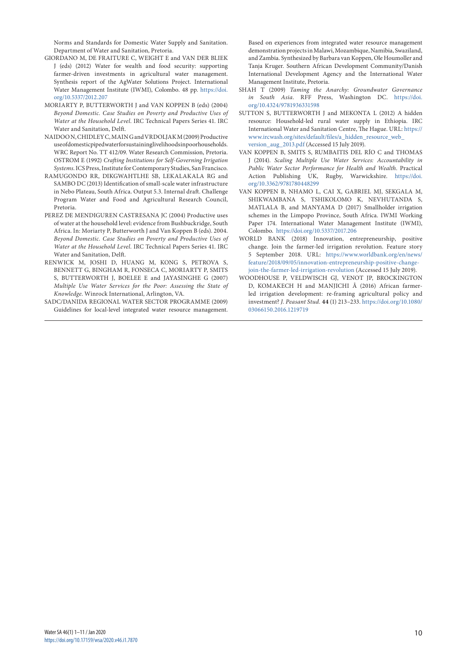Norms and Standards for Domestic Water Supply and Sanitation. Department of Water and Sanitation, Pretoria.

- GIORDANO M, DE FRAITURE C, WEIGHT E and VAN DER BLIEK J (eds) (2012) Water for wealth and food security: supporting farmer-driven investments in agricultural water management. Synthesis report of the AgWater Solutions Project. International Water Management Institute (IWMI), Colombo. 48 pp. [https://doi.](https://doi.org/10.5337/2012.207) [org/10.5337/2012.207](https://doi.org/10.5337/2012.207)
- MORIARTY P, BUTTERWORTH J and VAN KOPPEN B (eds) (2004) *Beyond Domestic. Case Studies on Poverty and Productive Uses of Water at the Household Level*. IRC Technical Papers Series 41. IRC Water and Sanitation, Delft.
- NAIDOO N, CHIDLEY C, MAIN G and VRDOLJAK M (2009) Productive use of domestic piped water for sustaining livelihoods in poor households. WRC Report No. TT 412/09. Water Research Commission, Pretoria. OSTROM E (1992) *Crafting Institutions for Self-Governing Irrigation Systems*. ICS Press, Institute for Contemporary Studies, San Francisco.
- RAMUGONDO RR, DIKGWAHTLHE SB, LEKALAKALA RG and SAMBO DC (2013) Identification of small-scale water infrastructure in Nebo Plateau, South Africa. Output 5.3. Internal draft. Challenge Program Water and Food and Agricultural Research Council, Pretoria.
- PEREZ DE MENDIGUREN CASTRESANA JC (2004) Productive uses of water at the household level: evidence from Bushbuckridge, South Africa. In: Moriarty P, Butterworth J and Van Koppen B (eds). 2004. *Beyond Domestic. Case Studies on Poverty and Productive Uses of Water at the Household Level*. IRC Technical Papers Series 41. IRC Water and Sanitation, Delft.
- RENWICK M, JOSHI D, HUANG M, KONG S, PETROVA S, BENNETT G, BINGHAM R, FONSECA C, MORIARTY P, SMITS S, BUTTERWORTH J, BOELEE E and JAYASINGHE G (2007) *Multiple Use Water Services for the Poor: Assessing the State of Knowledge*. Winrock International, Arlington, VA.
- SADC/DANIDA REGIONAL WATER SECTOR PROGRAMME (2009) Guidelines for local-level integrated water resource management.

Based on experiences from integrated water resource management demonstration projects in Malawi, Mozambique, Namibia, Swaziland, and Zambia. Synthesized by Barbara van Koppen, Ole Houmoller and Tanja Kruger. Southern African Development Community/Danish International Development Agency and the International Water Management Institute, Pretoria.

- SHAH T (2009) *Taming the Anarchy: Groundwater Governance in South Asia*. RFF Press, Washington DC. [https://doi.](https://doi.org/10.4324/9781936331598) [org/10.4324/9781936331598](https://doi.org/10.4324/9781936331598)
- SUTTON S, BUTTERWORTH J and MEKONTA L (2012) A hidden resource: Household-led rural water supply in Ethiopia. IRC International Water and Sanitation Centre, The Hague. URL: [https://](https://www.ircwash.org/sites/default/files/a_hidden_resource_web_version_aug_2013.pdf) [www.ircwash.org/sites/default/files/a\\_hidden\\_resource\\_web\\_](https://www.ircwash.org/sites/default/files/a_hidden_resource_web_version_aug_2013.pdf) [version\\_aug\\_2013.pdf](https://www.ircwash.org/sites/default/files/a_hidden_resource_web_version_aug_2013.pdf) (Accessed 15 July 2019).
- VAN KOPPEN B, SMITS S, RUMBAITIS DEL RÍO C and THOMAS J (2014). *Scaling Multiple Use Water Services: Accountability in Public Water Sector Performance for Health and Wealth*. Practical Action Publishing UK, Rugby, Warwickshire. [https://doi.](https://doi.org/10.3362/9781780448299) [org/10.3362/9781780448299](https://doi.org/10.3362/9781780448299)
- VAN KOPPEN B, NHAMO L, CAI X, GABRIEL MJ, SEKGALA M, SHIKWAMBANA S, TSHIKOLOMO K, NEVHUTANDA S, MATLALA B, and MANYAMA D (2017) Smallholder irrigation schemes in the Limpopo Province, South Africa. IWMI Working Paper 174. International Water Management Institute (IWMI), Colombo. <https://doi.org/10.5337/2017.206>
- WORLD BANK (2018) Innovation, entrepreneurship, positive change. Join the farmer-led irrigation revolution. Feature story 5 September 2018. URL: [https://www.worldbank.org/en/news/](https://www.worldbank.org/en/news/feature/2018/09/05/innovation-entrepreneurship-positive-change-join-the-farmer-led-irrigation-revolution) [feature/2018/09/05/innovation-entrepreneurship-positive-change](https://www.worldbank.org/en/news/feature/2018/09/05/innovation-entrepreneurship-positive-change-join-the-farmer-led-irrigation-revolution)[join-the-farmer-led-irrigation-revolution](https://www.worldbank.org/en/news/feature/2018/09/05/innovation-entrepreneurship-positive-change-join-the-farmer-led-irrigation-revolution) (Accessed 15 July 2019).
- WOODHOUSE P, VELDWISCH GJ, VENOT JP, BROCKINGTON D, KOMAKECH H and MANJICHI Â (2016) African farmerled irrigation development: re-framing agricultural policy and investment? *J. Peasant Stud.* **44** (1) 213–233. [https://doi.org/10.1080/](https://doi.org/10.1080/03066150.2016.1219719) [03066150.2016.1219719](https://doi.org/10.1080/03066150.2016.1219719)